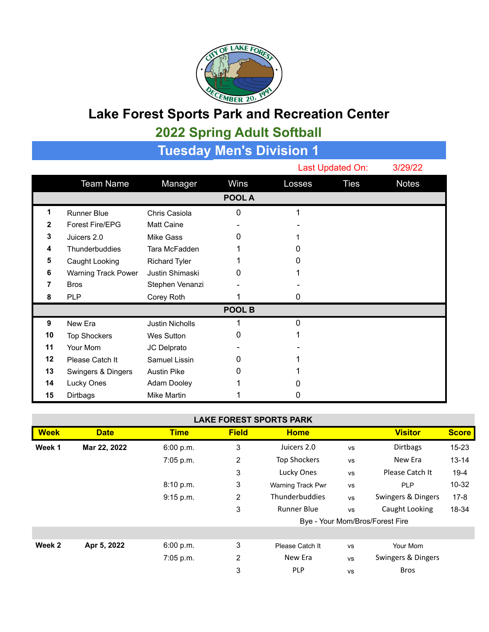

## **Lake Forest Sports Park and Recreation Center**

## **2022 Spring Adult Softball**

| Tuesday Men's Division 1 |                     |                        |        |        |                  |              |  |  |  |  |
|--------------------------|---------------------|------------------------|--------|--------|------------------|--------------|--|--|--|--|
|                          |                     |                        |        |        | Last Updated On: | 3/29/22      |  |  |  |  |
|                          | <b>Team Name</b>    | Manager                | Wins   | Losses | <b>Ties</b>      | <b>Notes</b> |  |  |  |  |
|                          |                     |                        | POOL A |        |                  |              |  |  |  |  |
| 1                        | <b>Runner Blue</b>  | Chris Casiola          | 0      |        |                  |              |  |  |  |  |
| $\mathbf{2}$             | Forest Fire/EPG     | <b>Matt Caine</b>      |        |        |                  |              |  |  |  |  |
| 3                        | Juicers 2.0         | Mike Gass              | Ω      |        |                  |              |  |  |  |  |
| 4                        | Thunderbuddies      | Tara McFadden          |        | 0      |                  |              |  |  |  |  |
| 5                        | Caught Looking      | <b>Richard Tyler</b>   |        | O)     |                  |              |  |  |  |  |
| 6                        | Warning Track Power | Justin Shimaski        | O      |        |                  |              |  |  |  |  |
| 7                        | <b>Bros</b>         | Stephen Venanzi        |        |        |                  |              |  |  |  |  |
| 8                        | <b>PLP</b>          | Corey Roth             |        | 0      |                  |              |  |  |  |  |
| POOL B                   |                     |                        |        |        |                  |              |  |  |  |  |
| 9                        | New Era             | <b>Justin Nicholls</b> |        | 0      |                  |              |  |  |  |  |
| 10                       | <b>Top Shockers</b> | <b>Wes Sutton</b>      | 0      |        |                  |              |  |  |  |  |
| 11                       | Your Mom            | JC Delprato            |        |        |                  |              |  |  |  |  |
| 12                       | Please Catch It     | Samuel Lissin          | O      |        |                  |              |  |  |  |  |
| 13                       | Swingers & Dingers  | <b>Austin Pike</b>     | 0      |        |                  |              |  |  |  |  |
| 14                       | Lucky Ones          | Adam Dooley            |        |        |                  |              |  |  |  |  |
| 15                       | Dirtbags            | Mike Martin            |        | O      |                  |              |  |  |  |  |

## **LAKE FOREST SPORTS PARK**

| <b>Week</b> | <b>Date</b>  | <b>Time</b> | <b>Field</b> | <b>Home</b>                     |           | <b>Visitor</b>     | <b>Score</b> |
|-------------|--------------|-------------|--------------|---------------------------------|-----------|--------------------|--------------|
| Week 1      | Mar 22, 2022 | 6:00 p.m.   | 3            | Juicers 2.0                     | <b>VS</b> | <b>Dirtbags</b>    | 15-23        |
|             |              | 7:05 p.m.   | 2            | <b>Top Shockers</b>             | <b>VS</b> | New Era            | $13 - 14$    |
|             |              |             | 3            | Lucky Ones                      | <b>VS</b> | Please Catch It    | $19-4$       |
|             |              | 8:10 p.m.   | 3            | Warning Track Pwr               | <b>VS</b> | <b>PLP</b>         | 10-32        |
|             |              | 9:15 p.m.   | 2            | <b>Thunderbuddies</b>           | <b>VS</b> | Swingers & Dingers | $17 - 8$     |
|             |              |             | 3            | <b>Runner Blue</b>              | <b>VS</b> | Caught Looking     | 18-34        |
|             |              |             |              | Bye - Your Mom/Bros/Forest Fire |           |                    |              |
|             |              |             |              |                                 |           |                    |              |
| Week 2      | Apr 5, 2022  | 6:00 p.m.   | 3            | Please Catch It                 | <b>VS</b> | Your Mom           |              |
|             |              | $7:05$ p.m. | 2            | New Era                         | <b>VS</b> | Swingers & Dingers |              |
|             |              |             | 3            | <b>PLP</b>                      | <b>VS</b> | <b>Bros</b>        |              |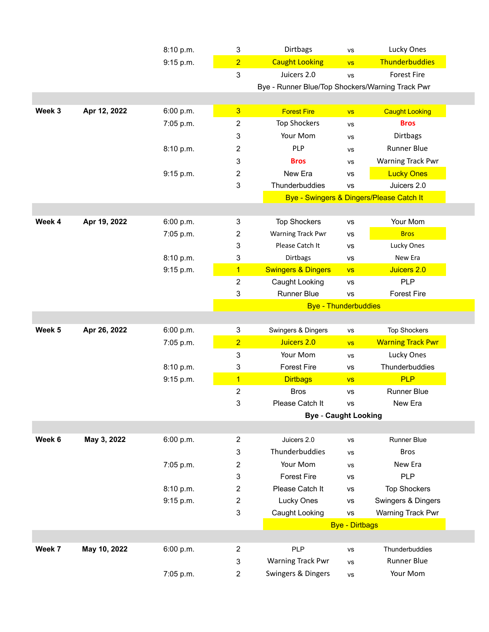|        |              | 8:10 p.m. | $\mathsf 3$      | Dirtbags                                         | <b>VS</b>             | Lucky Ones                               |
|--------|--------------|-----------|------------------|--------------------------------------------------|-----------------------|------------------------------------------|
|        |              | 9:15 p.m. | $\overline{2}$   | <b>Caught Looking</b>                            | <b>VS</b>             | Thunderbuddies                           |
|        |              |           | 3                | Juicers 2.0                                      | <b>VS</b>             | <b>Forest Fire</b>                       |
|        |              |           |                  | Bye - Runner Blue/Top Shockers/Warning Track Pwr |                       |                                          |
|        |              |           |                  |                                                  |                       |                                          |
| Week 3 | Apr 12, 2022 | 6:00 p.m. | $\overline{3}$   | <b>Forest Fire</b>                               | <b>VS</b>             | <b>Caught Looking</b>                    |
|        |              | 7:05 p.m. | $\overline{c}$   | <b>Top Shockers</b>                              | <b>VS</b>             | <b>Bros</b>                              |
|        |              |           | 3                | Your Mom                                         | <b>VS</b>             | Dirtbags                                 |
|        |              | 8:10 p.m. | 2                | PLP                                              | <b>VS</b>             | <b>Runner Blue</b>                       |
|        |              |           | 3                | <b>Bros</b>                                      | <b>VS</b>             | Warning Track Pwr                        |
|        |              | 9:15 p.m. | 2                | New Era                                          | <b>VS</b>             | <b>Lucky Ones</b>                        |
|        |              |           | 3                | Thunderbuddies                                   | <b>VS</b>             | Juicers 2.0                              |
|        |              |           |                  |                                                  |                       | Bye - Swingers & Dingers/Please Catch It |
|        |              |           |                  |                                                  |                       |                                          |
| Week 4 | Apr 19, 2022 | 6:00 p.m. | 3                | <b>Top Shockers</b>                              | <b>VS</b>             | Your Mom                                 |
|        |              | 7:05 p.m. | $\overline{c}$   | Warning Track Pwr                                | <b>VS</b>             | <b>Bros</b>                              |
|        |              |           | 3                | Please Catch It                                  | <b>VS</b>             | Lucky Ones                               |
|        |              | 8:10 p.m. | $\sqrt{3}$       | Dirtbags                                         | <b>VS</b>             | New Era                                  |
|        |              | 9:15 p.m. | $\overline{1}$   | <b>Swingers &amp; Dingers</b>                    | <b>VS</b>             | Juicers 2.0                              |
|        |              |           | $\overline{2}$   | Caught Looking                                   | <b>VS</b>             | <b>PLP</b>                               |
|        |              |           | 3                | Runner Blue                                      | <b>VS</b>             | <b>Forest Fire</b>                       |
|        |              |           |                  | <b>Bye - Thunderbuddies</b>                      |                       |                                          |
|        |              |           |                  |                                                  |                       |                                          |
| Week 5 | Apr 26, 2022 | 6:00 p.m. | 3                | Swingers & Dingers                               | <b>VS</b>             | <b>Top Shockers</b>                      |
|        |              | 7:05 p.m. | $\overline{2}$   | Juicers 2.0                                      | <b>VS</b>             | <b>Warning Track Pwr</b>                 |
|        |              |           | 3                | Your Mom                                         | <b>VS</b>             | Lucky Ones                               |
|        |              | 8:10 p.m. | 3                | <b>Forest Fire</b>                               | VS                    | Thunderbuddies                           |
|        |              | 9:15 p.m. | $\overline{1}$   | <b>Dirtbags</b>                                  | <b>VS</b>             | <b>PLP</b>                               |
|        |              |           | $\overline{c}$   | <b>Bros</b>                                      | <b>VS</b>             | Runner Blue                              |
|        |              |           | 3                | Please Catch It                                  | <b>VS</b>             | New Era                                  |
|        |              |           |                  | <b>Bye - Caught Looking</b>                      |                       |                                          |
|        |              |           |                  |                                                  |                       |                                          |
| Week 6 | May 3, 2022  | 6:00 p.m. | $\overline{2}$   | Juicers 2.0                                      | <b>VS</b>             | Runner Blue                              |
|        |              |           | $\mathbf{3}$     | Thunderbuddies                                   | <b>VS</b>             | <b>Bros</b>                              |
|        |              | 7:05 p.m. | $\overline{2}$   | Your Mom                                         | <b>VS</b>             | New Era                                  |
|        |              |           | 3                | <b>Forest Fire</b>                               | vs                    | <b>PLP</b>                               |
|        |              | 8:10 p.m. | $\overline{2}$   | Please Catch It                                  | <b>VS</b>             | <b>Top Shockers</b>                      |
|        |              | 9:15 p.m. | $\boldsymbol{2}$ | Lucky Ones                                       | vs                    | Swingers & Dingers                       |
|        |              |           | $\sqrt{3}$       | Caught Looking                                   | <b>VS</b>             | Warning Track Pwr                        |
|        |              |           |                  |                                                  | <b>Bye - Dirtbags</b> |                                          |
|        |              |           |                  |                                                  |                       |                                          |
| Week 7 | May 10, 2022 | 6:00 p.m. | $\overline{2}$   | <b>PLP</b>                                       | <b>VS</b>             | Thunderbuddies                           |
|        |              |           | 3                | <b>Warning Track Pwr</b>                         | <b>VS</b>             | <b>Runner Blue</b>                       |
|        |              | 7:05 p.m. | $\overline{c}$   | Swingers & Dingers                               | VS                    | Your Mom                                 |
|        |              |           |                  |                                                  |                       |                                          |